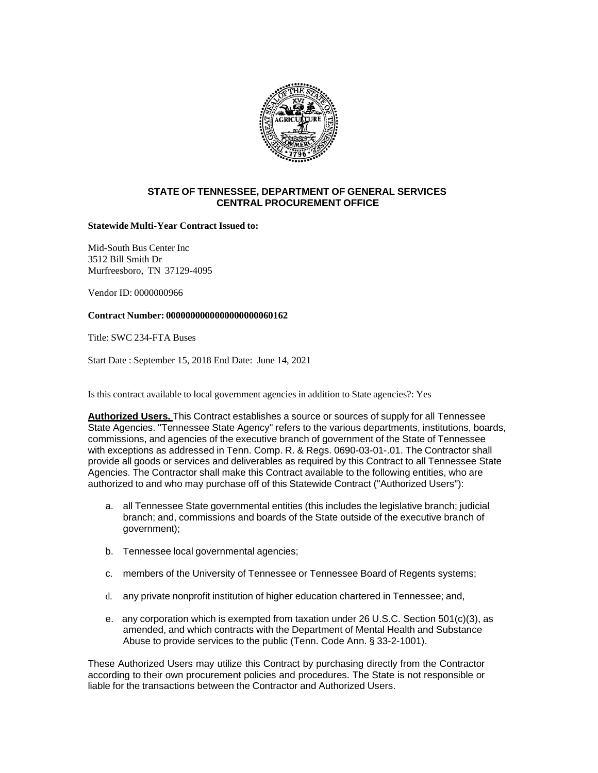

## **STATE OF TENNESSEE, DEPARTMENT OF GENERAL SERVICES CENTRAL PROCUREMENT OFFICE**

## **Statewide Multi-Year Contract Issued to:**

Mid-South Bus Center Inc 3512 Bill Smith Dr Murfreesboro, TN 37129-4095

Vendor ID: 0000000966

## **Contract Number: 0000000000000000000060162**

Title: SWC 234-FTA Buses

Start Date : September 15, 2018 End Date: June 14, 2021

Is this contract available to local government agencies in addition to State agencies?: Yes

**Authorized Users.** This Contract establishes a source or sources of supply for all Tennessee State Agencies. "Tennessee State Agency" refers to the various departments, institutions, boards, commissions, and agencies of the executive branch of government of the State of Tennessee with exceptions as addressed in Tenn. Comp. R. & Regs. 0690-03-01-.01. The Contractor shall provide all goods or services and deliverables as required by this Contract to all Tennessee State Agencies. The Contractor shall make this Contract available to the following entities, who are authorized to and who may purchase off of this Statewide Contract ("Authorized Users"):

- a. all Tennessee State governmental entities (this includes the legislative branch; judicial branch; and, commissions and boards of the State outside of the executive branch of government);
- b. Tennessee local governmental agencies;
- c. members of the University of Tennessee or Tennessee Board of Regents systems;
- d. any private nonprofit institution of higher education chartered in Tennessee; and,
- e. any corporation which is exempted from taxation under 26 U.S.C. Section 501(c)(3), as amended, and which contracts with the Department of Mental Health and Substance Abuse to provide services to the public (Tenn. Code Ann. § 33-2-1001).

These Authorized Users may utilize this Contract by purchasing directly from the Contractor according to their own procurement policies and procedures. The State is not responsible or liable for the transactions between the Contractor and Authorized Users.